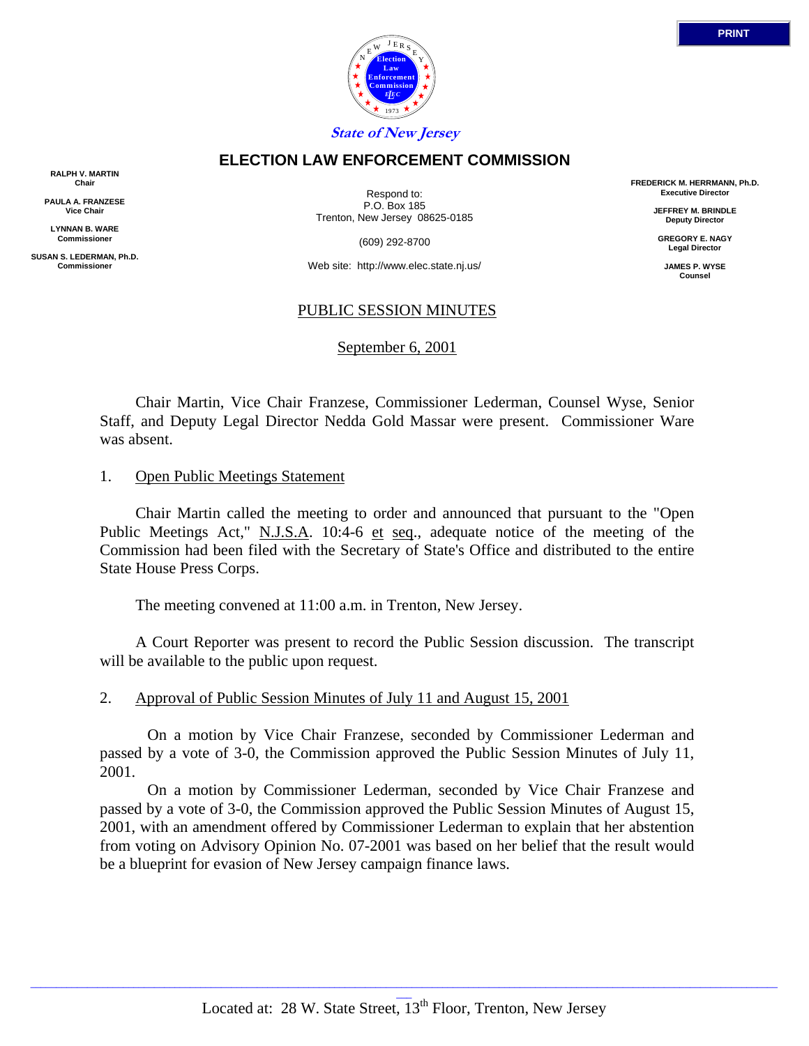

### **ELECTION LAW ENFORCEMENT COMMISSION**

**RALPH V. MARTIN Chair**

**PAULA A. FRANZESE Vice Chair**

**LYNNAN B. WARE Commissioner**

**SUSAN S. LEDERMAN, Ph.D. Commissioner**

Respond to: P.O. Box 185 Trenton, New Jersey 08625-0185

(609) 292-8700

Web site: http://www.elec.state.nj.us/

### PUBLIC SESSION MINUTES

September 6, 2001

 Chair Martin, Vice Chair Franzese, Commissioner Lederman, Counsel Wyse, Senior Staff, and Deputy Legal Director Nedda Gold Massar were present. Commissioner Ware was absent.

#### 1. Open Public Meetings Statement

 Chair Martin called the meeting to order and announced that pursuant to the "Open Public Meetings Act," N.J.S.A. 10:4-6 et seq., adequate notice of the meeting of the Commission had been filed with the Secretary of State's Office and distributed to the entire State House Press Corps.

The meeting convened at 11:00 a.m. in Trenton, New Jersey.

 A Court Reporter was present to record the Public Session discussion. The transcript will be available to the public upon request.

#### 2. Approval of Public Session Minutes of July 11 and August 15, 2001

 On a motion by Vice Chair Franzese, seconded by Commissioner Lederman and passed by a vote of 3-0, the Commission approved the Public Session Minutes of July 11, 2001.

 On a motion by Commissioner Lederman, seconded by Vice Chair Franzese and passed by a vote of 3-0, the Commission approved the Public Session Minutes of August 15, 2001, with an amendment offered by Commissioner Lederman to explain that her abstention from voting on Advisory Opinion No. 07-2001 was based on her belief that the result would be a blueprint for evasion of New Jersey campaign finance laws.

\_\_\_\_\_\_\_\_\_\_\_\_\_\_\_\_\_\_\_\_\_\_\_\_\_\_\_\_\_\_\_\_\_\_\_\_\_\_\_\_\_\_\_\_\_\_\_\_\_\_\_\_\_\_\_\_\_\_\_\_\_\_\_\_\_\_\_\_\_\_\_\_\_\_\_\_\_\_\_\_\_\_\_\_\_\_\_\_\_\_\_\_\_\_\_\_\_\_\_\_\_\_\_\_\_\_\_\_\_\_\_\_\_\_\_\_\_\_\_\_\_\_\_\_\_\_\_\_\_\_\_\_\_\_\_\_\_\_\_\_\_\_\_\_\_

**FREDERICK M. HERRMANN, Ph.D. Executive Director**

> **JEFFREY M. BRINDLE Deputy Director**

**GREGORY E. NAGY Legal Director**

**JAMES P. WYSE Counsel**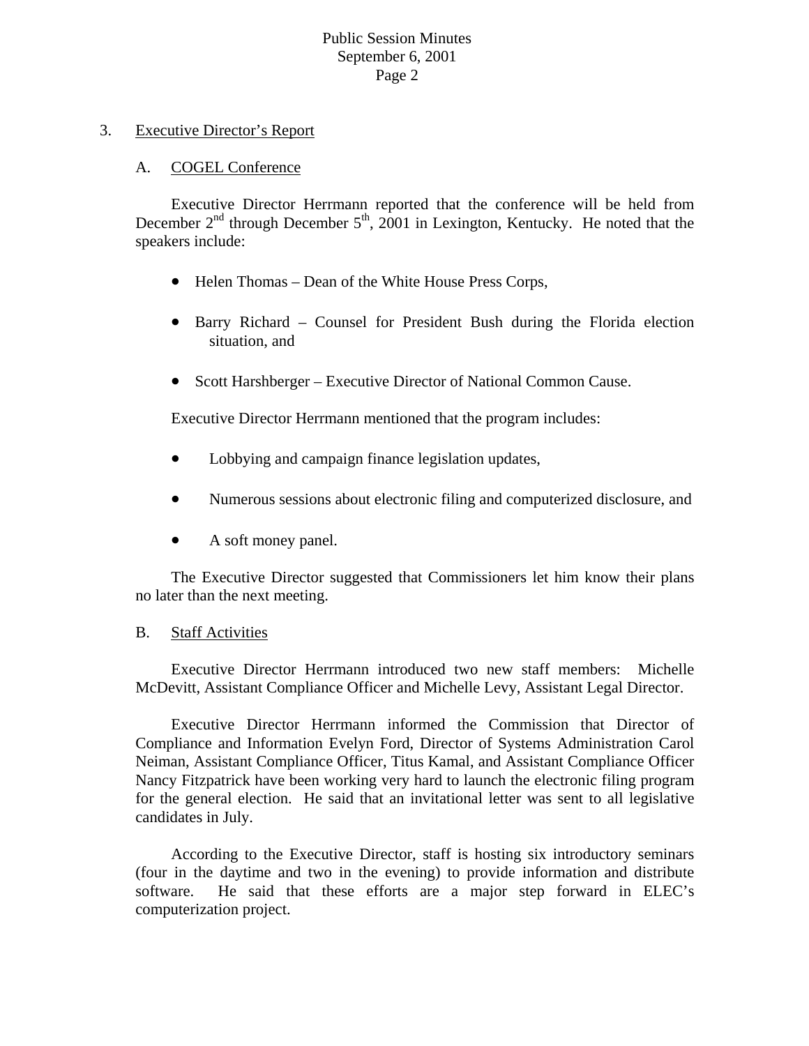### 3. Executive Director's Report

### A. COGEL Conference

 Executive Director Herrmann reported that the conference will be held from December  $2<sup>nd</sup>$  through December  $5<sup>th</sup>$ ,  $2001$  in Lexington, Kentucky. He noted that the speakers include:

- Helen Thomas Dean of the White House Press Corps,
- Barry Richard Counsel for President Bush during the Florida election situation, and
- Scott Harshberger Executive Director of National Common Cause.

Executive Director Herrmann mentioned that the program includes:

- Lobbying and campaign finance legislation updates,
- Numerous sessions about electronic filing and computerized disclosure, and  $\bullet$
- A soft money panel.

The Executive Director suggested that Commissioners let him know their plans no later than the next meeting.

#### B. Staff Activities

McDevitt, Assistant Compliance Officer and Michelle Levy, Assistant Legal Director. Executive Director Herrmann introduced two new staff members: Michelle

for the general election. He said that an invitational letter was sent to all legislative andidates in July. c Executive Director Herrmann informed the Commission that Director of Compliance and Information Evelyn Ford, Director of Systems Administration Carol Neiman, Assistant Compliance Officer, Titus Kamal, and Assistant Compliance Officer Nancy Fitzpatrick have been working very hard to launch the electronic filing program

software. He said that these efforts are a major step forward in ELEC's computerization project. According to the Executive Director, staff is hosting six introductory seminars (four in the daytime and two in the evening) to provide information and distribute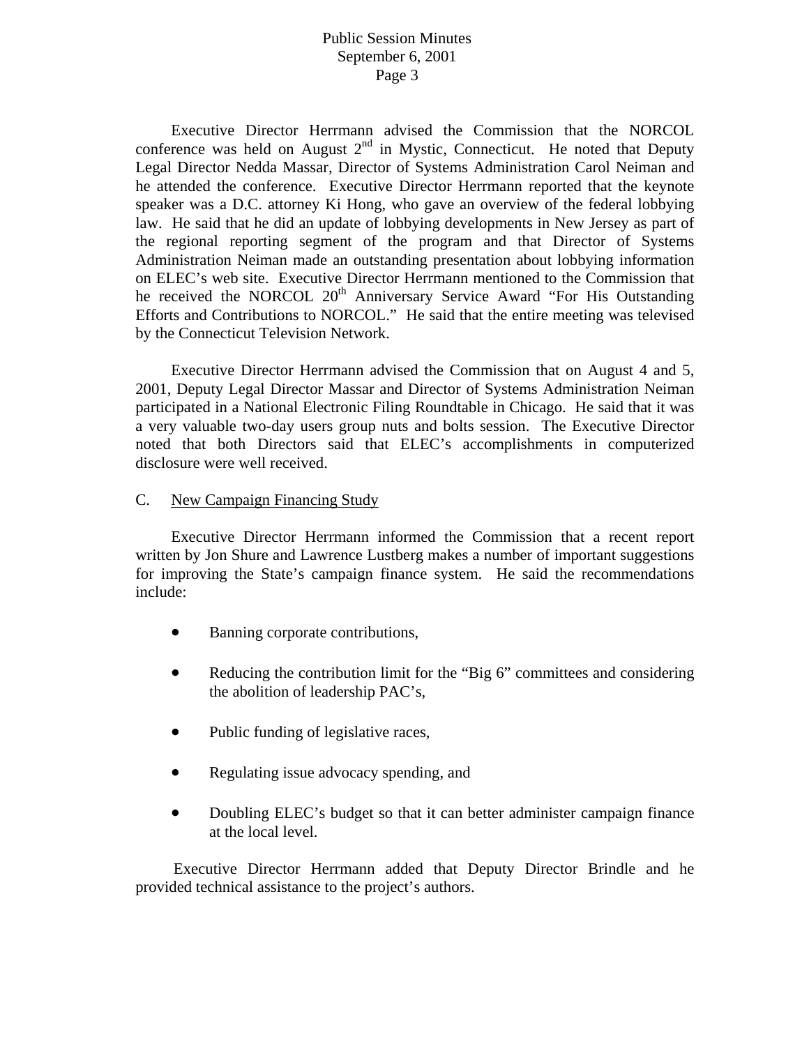Executive Director Herrmann advised the Commission that the NORCOL conference was held on August  $2<sup>nd</sup>$  in Mystic, Connecticut. He noted that Deputy Legal Director Nedda Massar, Director of Systems Administration Carol Neiman and he attended the conference. Executive Director Herrmann reported that the keynote speaker was a D.C. attorney Ki Hong, who gave an overview of the federal lobbying law. He said that he did an update of lobbying developments in New Jersey as part of the regional reporting segment of the program and that Director of Systems Administration Neiman made an outstanding presentation about lobbying information on ELEC's web site. Executive Director Herrmann mentioned to the Commission that he received the NORCOL 20<sup>th</sup> Anniversary Service Award "For His Outstanding Efforts and Contributions to NORCOL." He said that the entire meeting was televised by the Connecticut Television Network.

 Executive Director Herrmann advised the Commission that on August 4 and 5, 2001, Deputy Legal Director Massar and Director of Systems Administration Neiman participated in a National Electronic Filing Roundtable in Chicago. He said that it was a very valuable two-day users group nuts and bolts session. The Executive Director noted that both Directors said that ELEC's accomplishments in computerized disclosure were well received.

### C. New Campaign Financing Study

 Executive Director Herrmann informed the Commission that a recent report written by Jon Shure and Lawrence Lustberg makes a number of important suggestions for improving the State's campaign finance system. He said the recommendations include:

- Banning corporate contributions,
- Reducing the contribution limit for the "Big 6" committees and considering the abolition of leadership PAC's,
- Public funding of legislative races,
- Regulating issue advocacy spending, and
- Doubling ELEC's budget so that it can better administer campaign finance at the local level.

Executive Director Herrmann added that Deputy Director Brindle and he provided technical assistance to the project's authors.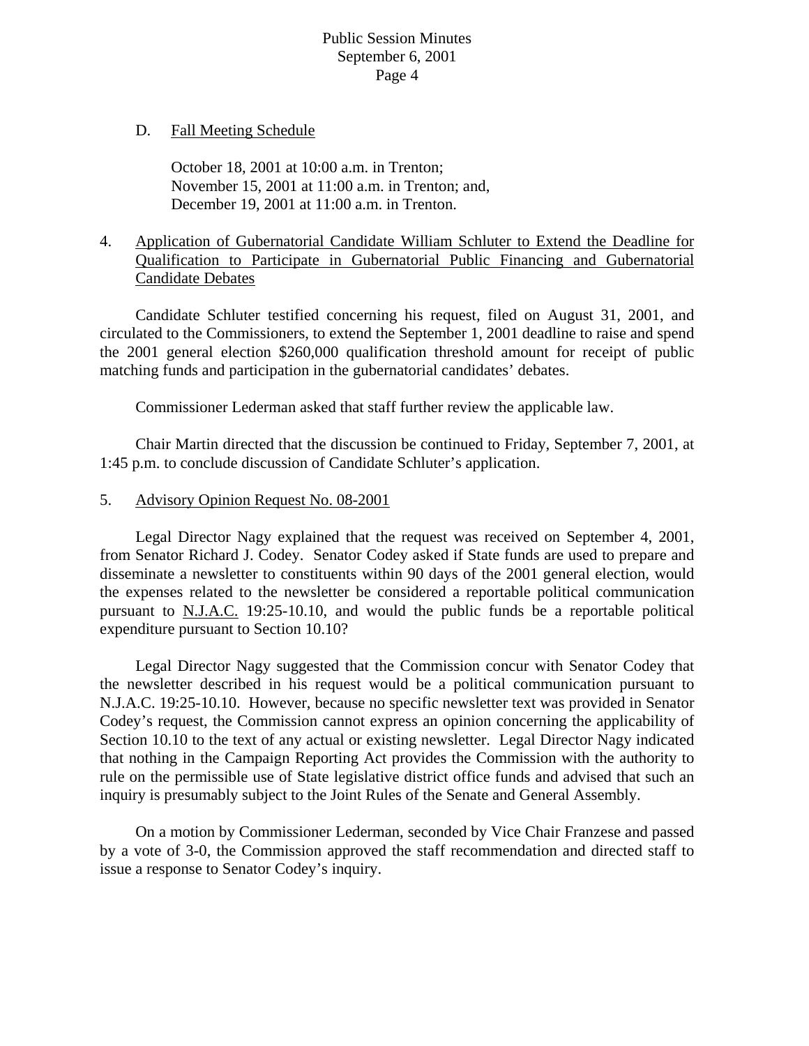### D. Fall Meeting Schedule

 October 18, 2001 at 10:00 a.m. in Trenton; November 15, 2001 at 11:00 a.m. in Trenton; and, December 19, 2001 at 11:00 a.m. in Trenton.

# 4. Application of Gubernatorial Candidate William Schluter to Extend the Deadline for Qualification to Participate in Gubernatorial Public Financing and Gubernatorial Candidate Debates

 Candidate Schluter testified concerning his request, filed on August 31, 2001, and circulated to the Commissioners, to extend the September 1, 2001 deadline to raise and spend the 2001 general election \$260,000 qualification threshold amount for receipt of public matching funds and participation in the gubernatorial candidates' debates.

Commissioner Lederman asked that staff further review the applicable law.

 Chair Martin directed that the discussion be continued to Friday, September 7, 2001, at 1:45 p.m. to conclude discussion of Candidate Schluter's application.

5. Advisory Opinion Request No. 08-2001

 Legal Director Nagy explained that the request was received on September 4, 2001, from Senator Richard J. Codey. Senator Codey asked if State funds are used to prepare and disseminate a newsletter to constituents within 90 days of the 2001 general election, would the expenses related to the newsletter be considered a reportable political communication pursuant to N.J.A.C. 19:25-10.10, and would the public funds be a reportable political expenditure pursuant to Section 10.10?

 Legal Director Nagy suggested that the Commission concur with Senator Codey that the newsletter described in his request would be a political communication pursuant to N.J.A.C. 19:25-10.10. However, because no specific newsletter text was provided in Senator Codey's request, the Commission cannot express an opinion concerning the applicability of Section 10.10 to the text of any actual or existing newsletter. Legal Director Nagy indicated that nothing in the Campaign Reporting Act provides the Commission with the authority to rule on the permissible use of State legislative district office funds and advised that such an inquiry is presumably subject to the Joint Rules of the Senate and General Assembly.

 On a motion by Commissioner Lederman, seconded by Vice Chair Franzese and passed by a vote of 3-0, the Commission approved the staff recommendation and directed staff to issue a response to Senator Codey's inquiry.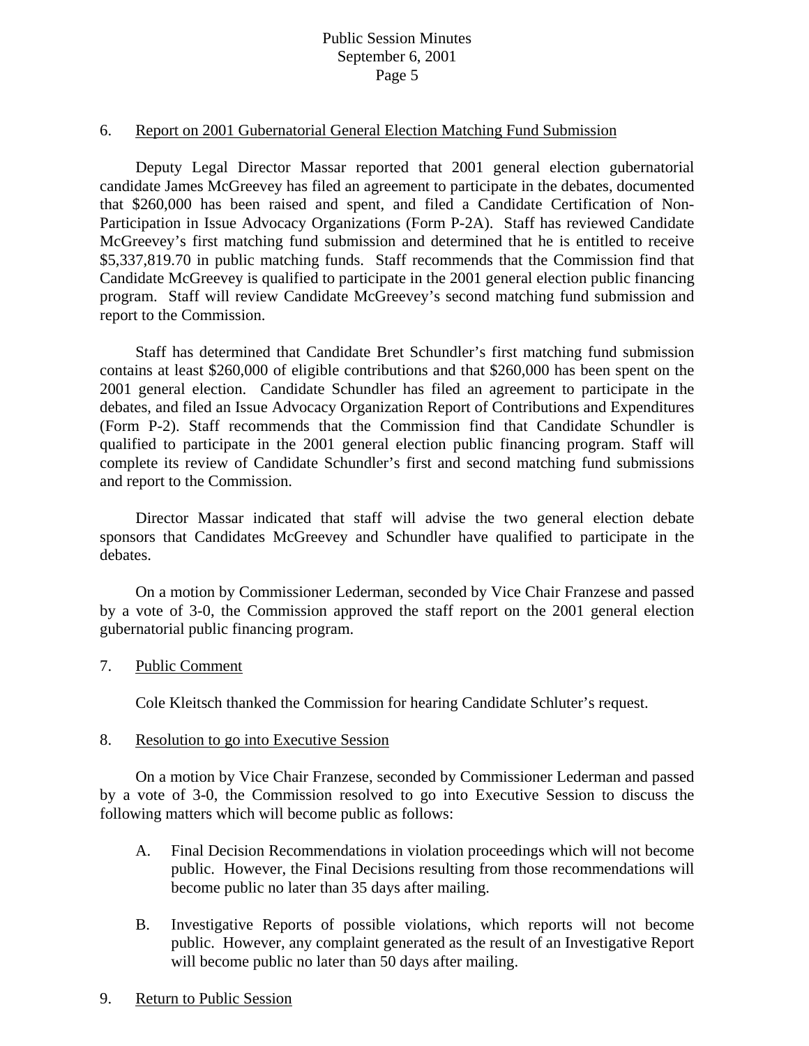#### 6. Report on 2001 Gubernatorial General Election Matching Fund Submission

 Deputy Legal Director Massar reported that 2001 general election gubernatorial candidate James McGreevey has filed an agreement to participate in the debates, documented that \$260,000 has been raised and spent, and filed a Candidate Certification of Non-Participation in Issue Advocacy Organizations (Form P-2A). Staff has reviewed Candidate McGreevey's first matching fund submission and determined that he is entitled to receive \$5,337,819.70 in public matching funds. Staff recommends that the Commission find that Candidate McGreevey is qualified to participate in the 2001 general election public financing program. Staff will review Candidate McGreevey's second matching fund submission and report to the Commission.

 Staff has determined that Candidate Bret Schundler's first matching fund submission contains at least \$260,000 of eligible contributions and that \$260,000 has been spent on the 2001 general election. Candidate Schundler has filed an agreement to participate in the debates, and filed an Issue Advocacy Organization Report of Contributions and Expenditures (Form P-2). Staff recommends that the Commission find that Candidate Schundler is qualified to participate in the 2001 general election public financing program. Staff will complete its review of Candidate Schundler's first and second matching fund submissions and report to the Commission.

 Director Massar indicated that staff will advise the two general election debate sponsors that Candidates McGreevey and Schundler have qualified to participate in the debates.

 On a motion by Commissioner Lederman, seconded by Vice Chair Franzese and passed by a vote of 3-0, the Commission approved the staff report on the 2001 general election gubernatorial public financing program.

#### 7. Public Comment

Cole Kleitsch thanked the Commission for hearing Candidate Schluter's request.

#### 8. Resolution to go into Executive Session

 On a motion by Vice Chair Franzese, seconded by Commissioner Lederman and passed by a vote of 3-0, the Commission resolved to go into Executive Session to discuss the following matters which will become public as follows:

- A. Final Decision Recommendations in violation proceedings which will not become public. However, the Final Decisions resulting from those recommendations will become public no later than 35 days after mailing.
- B. Investigative Reports of possible violations, which reports will not become public. However, any complaint generated as the result of an Investigative Report will become public no later than 50 days after mailing.
- 9. Return to Public Session